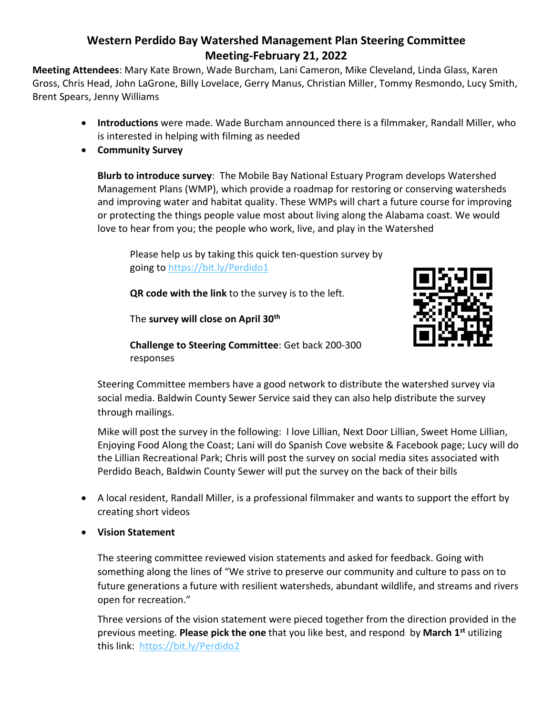## **Western Perdido Bay Watershed Management Plan Steering Committee Meeting-February 21, 2022**

**Meeting Attendees**: Mary Kate Brown, Wade Burcham, Lani Cameron, Mike Cleveland, Linda Glass, Karen Gross, Chris Head, John LaGrone, Billy Lovelace, Gerry Manus, Christian Miller, Tommy Resmondo, Lucy Smith, Brent Spears, Jenny Williams

- **Introductions** were made. Wade Burcham announced there is a filmmaker, Randall Miller, who is interested in helping with filming as needed
- **Community Survey**

**Blurb to introduce survey**: The Mobile Bay National Estuary Program develops Watershed Management Plans (WMP), which provide a roadmap for restoring or conserving watersheds and improving water and habitat quality. These WMPs will chart a future course for improving or protecting the things people value most about living along the Alabama coast. We would love to hear from you; the people who work, live, and play in the Watershed

Please help us by taking this quick ten-question survey by going to <https://bit.ly/Perdido1>

**QR code with the link** to the survey is to the left.

The **survey will close on April 30th**



**Challenge to Steering Committee**: Get back 200-300 responses

Steering Committee members have a good network to distribute the watershed survey via social media. Baldwin County Sewer Service said they can also help distribute the survey through mailings.

Mike will post the survey in the following: I love Lillian, Next Door Lillian, Sweet Home Lillian, Enjoying Food Along the Coast; Lani will do Spanish Cove website & Facebook page; Lucy will do the Lillian Recreational Park; Chris will post the survey on social media sites associated with Perdido Beach, Baldwin County Sewer will put the survey on the back of their bills

- A local resident, Randall Miller, is a professional filmmaker and wants to support the effort by creating short videos
- **Vision Statement**

The steering committee reviewed vision statements and asked for feedback. Going with something along the lines of "We strive to preserve our community and culture to pass on to future generations a future with resilient watersheds, abundant wildlife, and streams and rivers open for recreation."

Three versions of the vision statement were pieced together from the direction provided in the previous meeting. **Please pick the one** that you like best, and respond by **March 1st** utilizing this link: <https://bit.ly/Perdido2>